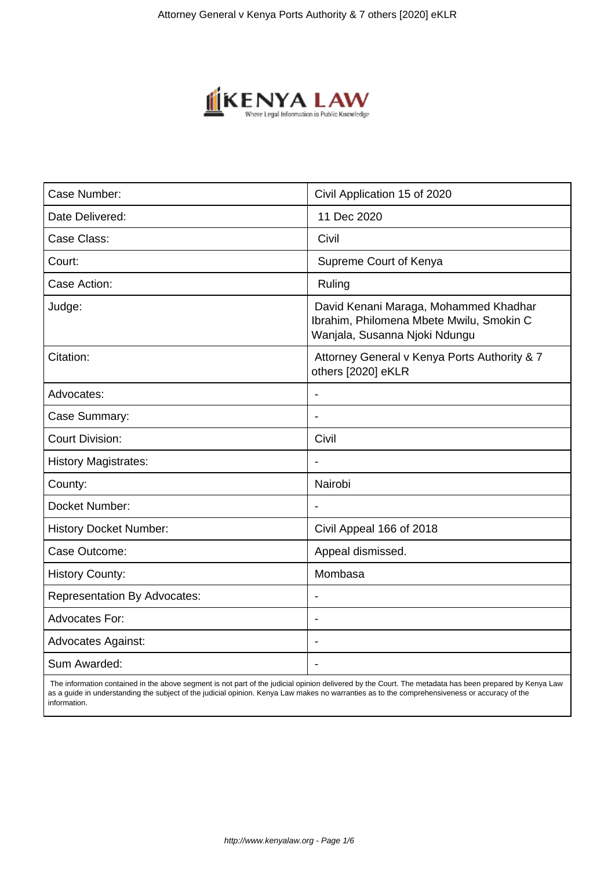

| Case Number:                        | Civil Application 15 of 2020                                                                                       |
|-------------------------------------|--------------------------------------------------------------------------------------------------------------------|
| Date Delivered:                     | 11 Dec 2020                                                                                                        |
| Case Class:                         | Civil                                                                                                              |
| Court:                              | Supreme Court of Kenya                                                                                             |
| Case Action:                        | Ruling                                                                                                             |
| Judge:                              | David Kenani Maraga, Mohammed Khadhar<br>Ibrahim, Philomena Mbete Mwilu, Smokin C<br>Wanjala, Susanna Njoki Ndungu |
| Citation:                           | Attorney General v Kenya Ports Authority & 7<br>others [2020] eKLR                                                 |
| Advocates:                          | $\blacksquare$                                                                                                     |
| Case Summary:                       |                                                                                                                    |
| <b>Court Division:</b>              | Civil                                                                                                              |
| <b>History Magistrates:</b>         | $\overline{\phantom{a}}$                                                                                           |
| County:                             | Nairobi                                                                                                            |
| Docket Number:                      |                                                                                                                    |
| <b>History Docket Number:</b>       | Civil Appeal 166 of 2018                                                                                           |
| Case Outcome:                       | Appeal dismissed.                                                                                                  |
| <b>History County:</b>              | Mombasa                                                                                                            |
| <b>Representation By Advocates:</b> |                                                                                                                    |
| <b>Advocates For:</b>               | $\overline{\phantom{a}}$                                                                                           |
| <b>Advocates Against:</b>           | $\blacksquare$                                                                                                     |
| Sum Awarded:                        |                                                                                                                    |

 The information contained in the above segment is not part of the judicial opinion delivered by the Court. The metadata has been prepared by Kenya Law as a guide in understanding the subject of the judicial opinion. Kenya Law makes no warranties as to the comprehensiveness or accuracy of the information.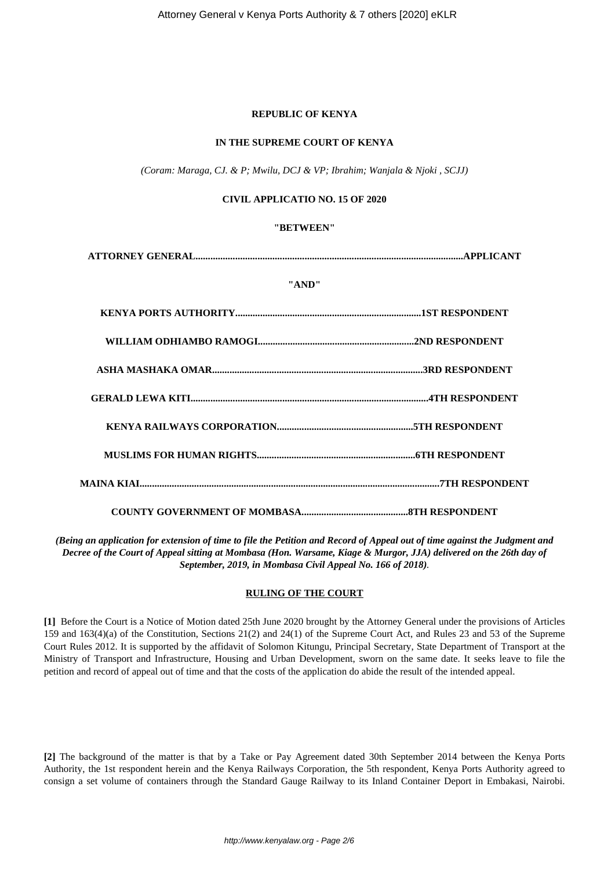# **REPUBLIC OF KENYA**

# **IN THE SUPREME COURT OF KENYA**

*(Coram: Maraga, CJ. & P; Mwilu, DCJ & VP; Ibrahim; Wanjala & Njoki , SCJJ)*

# **CIVIL APPLICATIO NO. 15 OF 2020**

#### **"BETWEEN"**

**ATTORNEY GENERAL............................................................................................................APPLICANT**

#### **"AND"**

*(Being an application for extension of time to file the Petition and Record of Appeal out of time against the Judgment and Decree of the Court of Appeal sitting at Mombasa (Hon. Warsame, Kiage & Murgor, JJA) delivered on the 26th day of September, 2019, in Mombasa Civil Appeal No. 166 of 2018).*

# **RULING OF THE COURT**

**[1]** Before the Court is a Notice of Motion dated 25th June 2020 brought by the Attorney General under the provisions of Articles 159 and 163(4)(a) of the Constitution, Sections 21(2) and 24(1) of the Supreme Court Act, and Rules 23 and 53 of the Supreme Court Rules 2012. It is supported by the affidavit of Solomon Kitungu, Principal Secretary, State Department of Transport at the Ministry of Transport and Infrastructure, Housing and Urban Development, sworn on the same date. It seeks leave to file the petition and record of appeal out of time and that the costs of the application do abide the result of the intended appeal.

**[2]** The background of the matter is that by a Take or Pay Agreement dated 30th September 2014 between the Kenya Ports Authority, the 1st respondent herein and the Kenya Railways Corporation, the 5th respondent, Kenya Ports Authority agreed to consign a set volume of containers through the Standard Gauge Railway to its Inland Container Deport in Embakasi, Nairobi.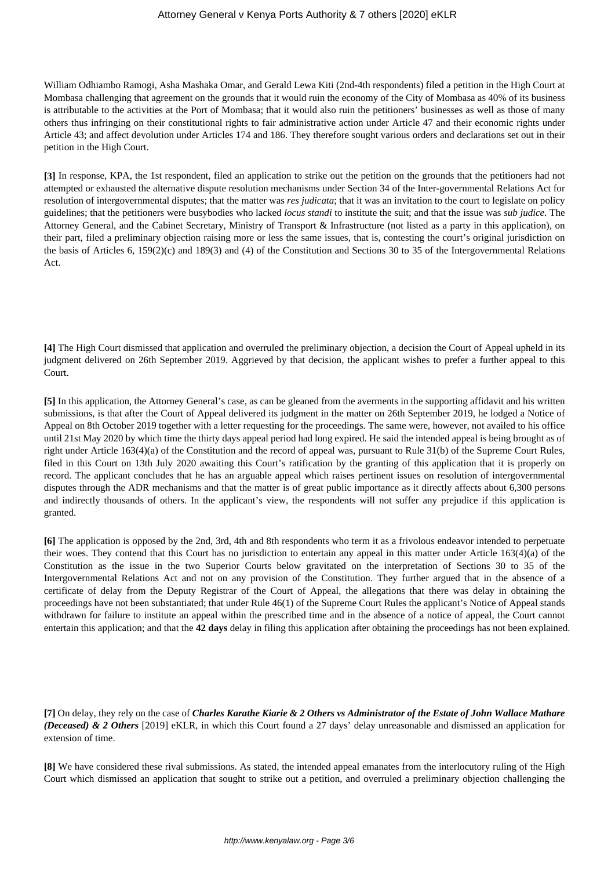# Attorney General v Kenya Ports Authority & 7 others [2020] eKLR

William Odhiambo Ramogi, Asha Mashaka Omar, and Gerald Lewa Kiti (2nd-4th respondents) filed a petition in the High Court at Mombasa challenging that agreement on the grounds that it would ruin the economy of the City of Mombasa as 40% of its business is attributable to the activities at the Port of Mombasa; that it would also ruin the petitioners' businesses as well as those of many others thus infringing on their constitutional rights to fair administrative action under Article 47 and their economic rights under Article 43; and affect devolution under Articles 174 and 186. They therefore sought various orders and declarations set out in their petition in the High Court.

**[3]** In response, KPA, the 1st respondent, filed an application to strike out the petition on the grounds that the petitioners had not attempted or exhausted the alternative dispute resolution mechanisms under Section 34 of the Inter-governmental Relations Act for resolution of intergovernmental disputes; that the matter was *res judicata*; that it was an invitation to the court to legislate on policy guidelines; that the petitioners were busybodies who lacked *locus standi* to institute the suit; and that the issue was *sub judice.* The Attorney General, and the Cabinet Secretary, Ministry of Transport & Infrastructure (not listed as a party in this application), on their part, filed a preliminary objection raising more or less the same issues, that is, contesting the court's original jurisdiction on the basis of Articles 6, 159(2)(c) and 189(3) and (4) of the Constitution and Sections 30 to 35 of the Intergovernmental Relations Act.

**[4]** The High Court dismissed that application and overruled the preliminary objection, a decision the Court of Appeal upheld in its judgment delivered on 26th September 2019. Aggrieved by that decision, the applicant wishes to prefer a further appeal to this Court.

**[5]** In this application, the Attorney General's case, as can be gleaned from the averments in the supporting affidavit and his written submissions, is that after the Court of Appeal delivered its judgment in the matter on 26th September 2019, he lodged a Notice of Appeal on 8th October 2019 together with a letter requesting for the proceedings. The same were, however, not availed to his office until 21st May 2020 by which time the thirty days appeal period had long expired. He said the intended appeal is being brought as of right under Article 163(4)(a) of the Constitution and the record of appeal was, pursuant to Rule 31(b) of the Supreme Court Rules, filed in this Court on 13th July 2020 awaiting this Court's ratification by the granting of this application that it is properly on record. The applicant concludes that he has an arguable appeal which raises pertinent issues on resolution of intergovernmental disputes through the ADR mechanisms and that the matter is of great public importance as it directly affects about 6,300 persons and indirectly thousands of others. In the applicant's view, the respondents will not suffer any prejudice if this application is granted.

**[6]** The application is opposed by the 2nd, 3rd, 4th and 8th respondents who term it as a frivolous endeavor intended to perpetuate their woes. They contend that this Court has no jurisdiction to entertain any appeal in this matter under Article 163(4)(a) of the Constitution as the issue in the two Superior Courts below gravitated on the interpretation of Sections 30 to 35 of the Intergovernmental Relations Act and not on any provision of the Constitution. They further argued that in the absence of a certificate of delay from the Deputy Registrar of the Court of Appeal, the allegations that there was delay in obtaining the proceedings have not been substantiated; that under Rule 46(1) of the Supreme Court Rules the applicant's Notice of Appeal stands withdrawn for failure to institute an appeal within the prescribed time and in the absence of a notice of appeal, the Court cannot entertain this application; and that the **42 days** delay in filing this application after obtaining the proceedings has not been explained.

**[7]** On delay, they rely on the case of *Charles Karathe Kiarie & 2 Others vs Administrator of the Estate of John Wallace Mathare (Deceased) & 2 Others* [2019] eKLR, in which this Court found a 27 days' delay unreasonable and dismissed an application for extension of time.

**[8]** We have considered these rival submissions. As stated, the intended appeal emanates from the interlocutory ruling of the High Court which dismissed an application that sought to strike out a petition, and overruled a preliminary objection challenging the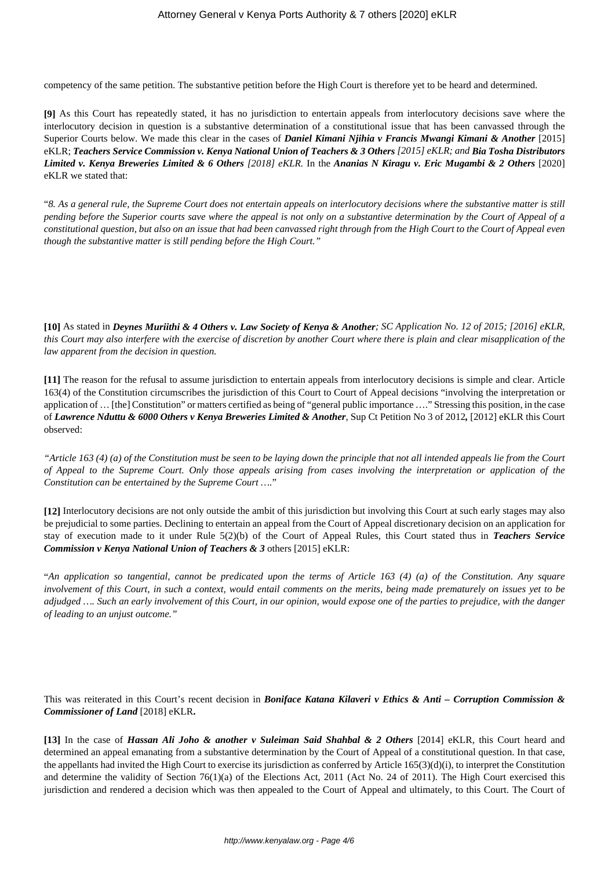competency of the same petition. The substantive petition before the High Court is therefore yet to be heard and determined.

**[9]** As this Court has repeatedly stated, it has no jurisdiction to entertain appeals from interlocutory decisions save where the interlocutory decision in question is a substantive determination of a constitutional issue that has been canvassed through the Superior Courts below. We made this clear in the cases of *Daniel Kimani Njihia v Francis Mwangi Kimani & Another* [2015] eKLR; *Teachers Service Commission v. Kenya National Union of Teachers & 3 Others [2015] eKLR; and Bia Tosha Distributors Limited v. Kenya Breweries Limited & 6 Others [2018] eKLR.* In the *Ananias N Kiragu v. Eric Mugambi & 2 Others* [2020] eKLR we stated that:

"*8. As a general rule, the Supreme Court does not entertain appeals on interlocutory decisions where the substantive matter is still pending before the Superior courts save where the appeal is not only on a substantive determination by the Court of Appeal of a constitutional question, but also on an issue that had been canvassed right through from the High Court to the Court of Appeal even though the substantive matter is still pending before the High Court."*

**[10]** As stated in *Deynes Muriithi & 4 Others v. Law Society of Kenya & Another; SC Application No. 12 of 2015; [2016] eKLR, this Court may also interfere with the exercise of discretion by another Court where there is plain and clear misapplication of the law apparent from the decision in question.*

**[11]** The reason for the refusal to assume jurisdiction to entertain appeals from interlocutory decisions is simple and clear. Article 163(4) of the Constitution circumscribes the jurisdiction of this Court to Court of Appeal decisions "involving the interpretation or application of … [the] Constitution" or matters certified as being of "general public importance …." Stressing this position, in the case of *Lawrence Nduttu & 6000 Others v Kenya Breweries Limited & Another*, Sup Ct Petition No 3 of 2012*,* [2012] eKLR this Court observed:

*"Article 163 (4) (a) of the Constitution must be seen to be laying down the principle that not all intended appeals lie from the Court of Appeal to the Supreme Court. Only those appeals arising from cases involving the interpretation or application of the Constitution can be entertained by the Supreme Court ….*"

**[12]** Interlocutory decisions are not only outside the ambit of this jurisdiction but involving this Court at such early stages may also be prejudicial to some parties. Declining to entertain an appeal from the Court of Appeal discretionary decision on an application for stay of execution made to it under Rule 5(2)(b) of the Court of Appeal Rules, this Court stated thus in *Teachers Service Commission v Kenya National Union of Teachers & 3* others [2015] eKLR:

"*An application so tangential, cannot be predicated upon the terms of Article 163 (4) (a) of the Constitution. Any square involvement of this Court, in such a context, would entail comments on the merits, being made prematurely on issues yet to be adjudged …. Such an early involvement of this Court, in our opinion, would expose one of the parties to prejudice, with the danger of leading to an unjust outcome."*

This was reiterated in this Court's recent decision in *Boniface Katana Kilaveri v Ethics & Anti – Corruption Commission & Commissioner of Land* [2018] eKLR**.**

**[13]** In the case of *Hassan Ali Joho & another v Suleiman Said Shahbal & 2 Others* [2014] eKLR, this Court heard and determined an appeal emanating from a substantive determination by the Court of Appeal of a constitutional question. In that case, the appellants had invited the High Court to exercise its jurisdiction as conferred by Article  $165(3)(d)(i)$ , to interpret the Constitution and determine the validity of Section 76(1)(a) of the Elections Act, 2011 (Act No. 24 of 2011). The High Court exercised this jurisdiction and rendered a decision which was then appealed to the Court of Appeal and ultimately, to this Court. The Court of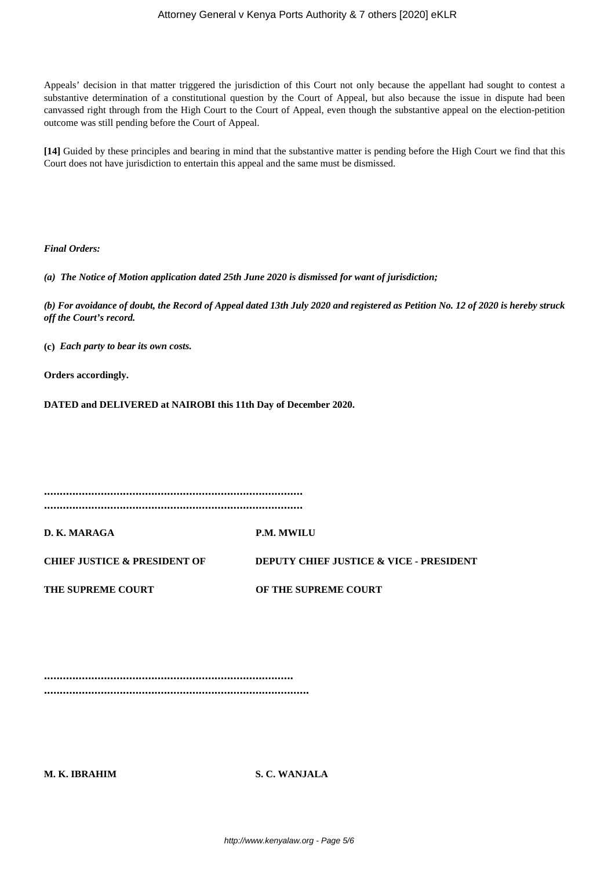Appeals' decision in that matter triggered the jurisdiction of this Court not only because the appellant had sought to contest a substantive determination of a constitutional question by the Court of Appeal, but also because the issue in dispute had been canvassed right through from the High Court to the Court of Appeal, even though the substantive appeal on the election-petition outcome was still pending before the Court of Appeal.

**[14]** Guided by these principles and bearing in mind that the substantive matter is pending before the High Court we find that this Court does not have jurisdiction to entertain this appeal and the same must be dismissed.

*Final Orders:*

*(a) The Notice of Motion application dated 25th June 2020 is dismissed for want of jurisdiction;*

*(b) For avoidance of doubt, the Record of Appeal dated 13th July 2020 and registered as Petition No. 12 of 2020 is hereby struck off the Court's record.*

**(c)** *Each party to bear its own costs.*

**Orders accordingly.**

**DATED and DELIVERED at NAIROBI this 11th Day of December 2020.**

**..................................................................................**

**..................................................................................**

**D. K. MARAGA P.M. MWILU**

**CHIEF JUSTICE & PRESIDENT OF DEPUTY CHIEF JUSTICE & VICE - PRESIDENT**

**THE SUPREME COURT OF THE SUPREME COURT**

**............................................................................... ....................................................................................**

**M. K. IBRAHIM S. C. WANJALA**